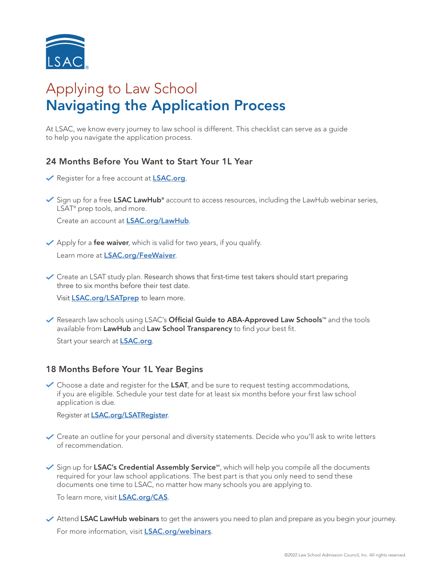

# Applying to Law School Navigating the Application Process

At LSAC, we know every journey to law school is different. This checklist can serve as a guide to help you navigate the application process.

## 24 Months Before You Want to Start Your 1L Year

- Register for a free account at [LSAC.org](https://www.lsac.org/).
- Sign up for a free LSAC LawHub<sup>®</sup> account to access resources, including the LawHub webinar series, LSAT<sup>®</sup> prep tools, and more.

Create an account [at](https://www.lsac.org/discover-law) **[LSAC.org/LawHub](https://www.lsac.org/lawhub).** 

 $\vee$  Apply for a **fee waiver**, which is valid for two years, if you qualify. Learn more at [LSAC.org/FeeWaiver](http://LSAC.org/lsat/register-lsat/lsat-cas-fees/fee-waivers-lsat-credential-assembly-service-cas).

 $\checkmark$  Create an LSAT study plan. Research shows that first-time test takers should start preparing three to six months before their test date.

Visit [LSAC.org/LSATprep](https://www.lsac.org/lsat/prepare) to learn more.

√ Research law schools using LSAC's Official Guide to ABA-Approved Law Schools<sup>™</sup> and the tools available from LawHub and Law School Transparency to find your best fit.

Start your search at **[LSAC.org](https://www.lsac.org/)**.

#### 18 Months Before Your 1L Year Begins

 $\checkmark$  Choose a date and register for the LSAT, and be sure to request testing accommodations, if you are eligible. Schedule your test date for at least six months before your first law school application is due.

Register at **[LSAC.org/LSATRegister](https://LSAC.org/lsat/register-lsat)**.

- $\checkmark$  Create an outline for your personal and diversity statements. Decide who you'll ask to write letters of recommendation.
- $\checkmark$  Sign up for LSAC's Credential Assembly Service<sup>5M</sup>, which will help you compile all the documents required for your law school applications. The best part is that you only need to send these documents one time to LSAC, no matter how many schools you are applying to.

To learn more, visit **[LSAC.org/CAS](https://www.lsac.org/applying-law-school/jd-application-process/credential-assembly-service-cas)**.

◆ Attend LSAC LawHub webinars to get the answers you need to plan and prepare as you begin your journey. For more information, visit **[LSAC.org/webinars](https://www.lsac.org/lawhub/webinars)**.